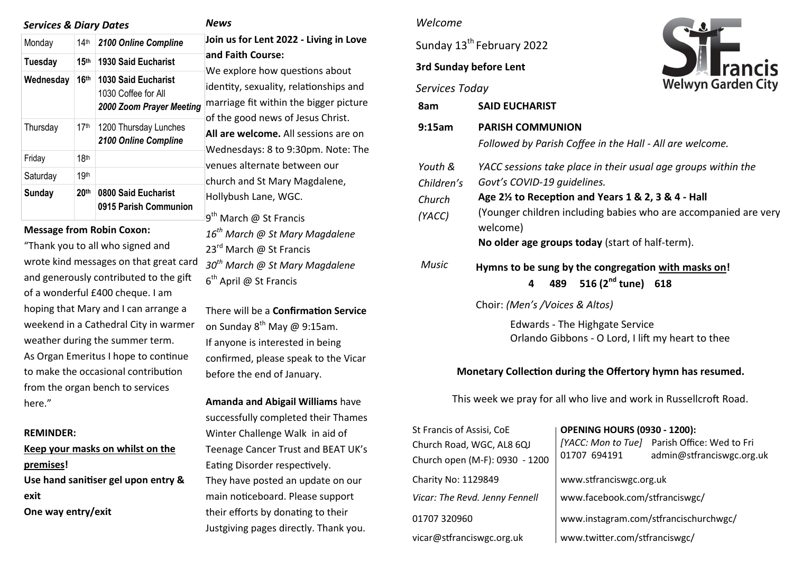| <b>Services &amp; Diary Dates</b> |                  |                                                                               |                       |
|-----------------------------------|------------------|-------------------------------------------------------------------------------|-----------------------|
| Monday                            | 14 <sup>th</sup> | 2100 Online Compline                                                          | Joi                   |
| <b>Tuesday</b>                    | 15 <sup>th</sup> | <b>1930 Said Eucharist</b>                                                    | an<br>W٤              |
| Wednesday                         | <b>16th</b>      | <b>1030 Said Eucharist</b><br>1030 Coffee for All<br>2000 Zoom Prayer Meeting | ide<br>ma             |
| Thursday                          | 17 <sup>th</sup> | 1200 Thursday Lunches<br>2100 Online Compline                                 | of ·<br>All<br>We     |
| Friday                            | 18 <sup>th</sup> |                                                                               | ver                   |
| Saturday                          | 19th             |                                                                               | chu                   |
| Sunday                            | 20 <sup>th</sup> | 0800 Said Eucharist<br>0915 Parish Communion                                  | Ho<br>$\mathsf{a}$ th |

### **Message from Robin Coxon:**

"Thank you to all who signed and wrote kind messages on that great card and generously contributed to the gift of a wonderful £400 cheque. I am hoping that Mary and I can arrange a weekend in a Cathedral City in warmer weather during the summer term. As Organ Emeritus I hope to continue to make the occasional contribution from the organ bench to services here."

#### **REMINDER:**

**Keep your masks on whilst on the premises! Use hand sanitiser gel upon entry & exit One way entry/exit**

*News* 

**Join us for Lent 2022 - Living in Love and Faith Course:** 

e explore how questions about entity, sexuality, relationships and arriage fit within the bigger picture the good news of Jesus Christ.

**All are welcome.** All sessions are on ednesdays: 8 to 9:30pm. Note: The nues alternate between our urch and St Mary Magdalene, bllybush Lane, WGC.

9<sup>th</sup> March @ St Francis *16th March @ St Mary Magdalene*  23<sup>rd</sup> March @ St Francis *30th March @ St Mary Magdalene*  6<sup>th</sup> April @ St Francis

There will be a **Confirmation Service**  on Sunday  $8^{th}$  May @ 9:15am. If anyone is interested in being confirmed, please speak to the Vicar before the end of January.

**Amanda and Abigail Williams** have successfully completed their Thames Winter Challenge Walk in aid of Teenage Cancer Trust and BEAT UK's Eating Disorder respectively. They have posted an update on our main noticeboard. Please support their efforts by donating to their Justgiving pages directly. Thank you.

## *Welcome*

Sunday 13<sup>th</sup> February 2022

#### **3rd Sunday before Lent**

*Services Today*



| Services Today                            | <b><i>INCIVITHE CITY</i></b>                                                                                                                                                                                                                                                        |  |  |  |  |
|-------------------------------------------|-------------------------------------------------------------------------------------------------------------------------------------------------------------------------------------------------------------------------------------------------------------------------------------|--|--|--|--|
| 8am                                       | <b>SAID EUCHARIST</b>                                                                                                                                                                                                                                                               |  |  |  |  |
| 9:15am                                    | <b>PARISH COMMUNION</b><br>Followed by Parish Coffee in the Hall - All are welcome.                                                                                                                                                                                                 |  |  |  |  |
| Youth &<br>Children's<br>Church<br>(YACC) | YACC sessions take place in their usual age groups within the<br>Govt's COVID-19 quidelines.<br>Age 2½ to Reception and Years 1 & 2, 3 & 4 - Hall<br>(Younger children including babies who are accompanied are very<br>welcome)<br>No older age groups today (start of half-term). |  |  |  |  |
| <b>Music</b>                              | Hymns to be sung by the congregation with masks on!<br>489 516 $(2^{nd}$ tune) 618<br>4                                                                                                                                                                                             |  |  |  |  |

Choir: *(Men's /Voices & Altos)* 

Edwards - The Highgate Service Orlando Gibbons - O Lord, I lift my heart to thee

### **Monetary Collection during the Offertory hymn has resumed.**

This week we pray for all who live and work in Russellcroft Road.

| St Francis of Assisi, CoE      | <b>OPENING HOURS (0930 - 1200):</b>   |                                              |  |  |
|--------------------------------|---------------------------------------|----------------------------------------------|--|--|
| Church Road, WGC, AL8 6QJ      | 01707 694191                          | [YACC: Mon to Tue] Parish Office: Wed to Fri |  |  |
| Church open (M-F): 0930 - 1200 |                                       | admin@stfranciswgc.org.uk                    |  |  |
| Charity No: 1129849            | www.stfranciswgc.org.uk               |                                              |  |  |
| Vicar: The Revd. Jenny Fennell | www.facebook.com/stfranciswgc/        |                                              |  |  |
| 01707 320960                   | www.instagram.com/stfrancischurchwgc/ |                                              |  |  |
| vicar@stfranciswgc.org.uk      | www.twitter.com/stfranciswgc/         |                                              |  |  |